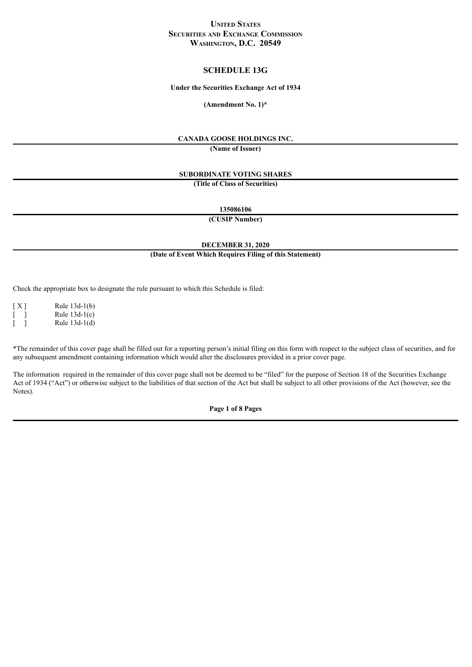### **UNITED STATES SECURITIES AND EXCHANGE COMMISSION WASHINGTON, D.C. 20549**

### **SCHEDULE 13G**

#### **Under the Securities Exchange Act of 1934**

**(Amendment No. 1)\***

### **CANADA GOOSE HOLDINGS INC.**

**(Name of Issuer)**

## **SUBORDINATE VOTING SHARES**

**(Title of Class of Securities)**

**135086106**

**(CUSIP Number)**

#### **DECEMBER 31, 2020**

### **(Date of Event Which Requires Filing of this Statement)**

Check the appropriate box to designate the rule pursuant to which this Schedule is filed:

[ X ] Rule 13d-1(b)  $\lceil \quad \rceil$  Rule 13d-1(c)  $]$  Rule 13d-1(d)

\*The remainder of this cover page shall be filled out for a reporting person's initial filing on this form with respect to the subject class of securities, and for any subsequent amendment containing information which would alter the disclosures provided in a prior cover page.

The information required in the remainder of this cover page shall not be deemed to be "filed" for the purpose of Section 18 of the Securities Exchange Act of 1934 ("Act") or otherwise subject to the liabilities of that section of the Act but shall be subject to all other provisions of the Act (however, see the Notes).

**Page 1 of 8 Pages**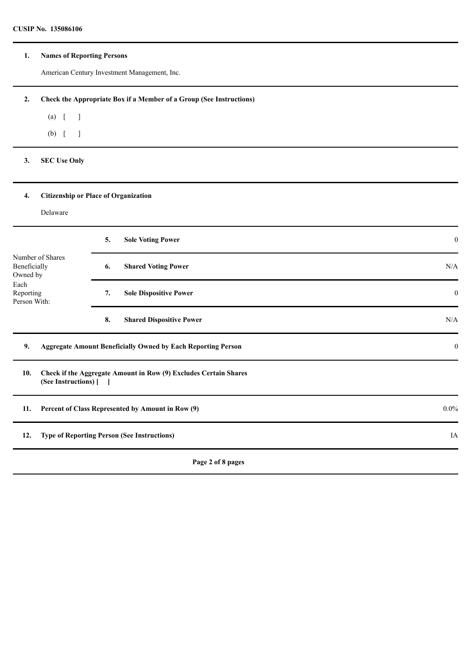### **1. Names of Reporting Persons**

American Century Investment Management, Inc.

# **2. Check the Appropriate Box if a Member of a Group (See Instructions)**

(a)  $[$  ]

(b) [ ]

## **3. SEC Use Only**

# **4. Citizenship or Place of Organization**

## Delaware

|                                                                                   |                                                                                            | 5. | <b>Sole Voting Power</b>                                            | $\bf{0}$     |  |
|-----------------------------------------------------------------------------------|--------------------------------------------------------------------------------------------|----|---------------------------------------------------------------------|--------------|--|
| Number of Shares<br>Beneficially<br>Owned by<br>Each<br>Reporting<br>Person With: |                                                                                            | 6. | <b>Shared Voting Power</b>                                          | N/A          |  |
|                                                                                   |                                                                                            | 7. | <b>Sole Dispositive Power</b>                                       | $\mathbf{0}$ |  |
|                                                                                   |                                                                                            | 8. | <b>Shared Dispositive Power</b>                                     | N/A          |  |
| 9.                                                                                |                                                                                            |    | <b>Aggregate Amount Beneficially Owned by Each Reporting Person</b> | $\bf{0}$     |  |
| 10.                                                                               | Check if the Aggregate Amount in Row (9) Excludes Certain Shares<br>(See Instructions) [ ] |    |                                                                     |              |  |
| Percent of Class Represented by Amount in Row (9)<br>11.                          |                                                                                            |    |                                                                     |              |  |
| 12.                                                                               | <b>Type of Reporting Person (See Instructions)</b>                                         |    |                                                                     | IA           |  |
|                                                                                   |                                                                                            |    | Page 2 of 8 pages                                                   |              |  |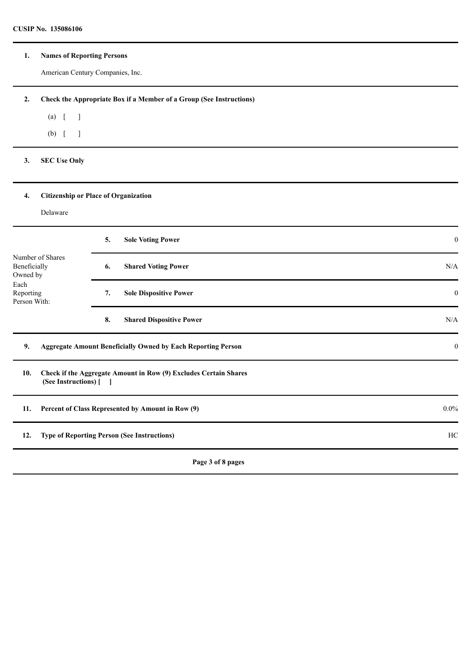### **1. Names of Reporting Persons**

American Century Companies, Inc.

**2. Check the Appropriate Box if a Member of a Group (See Instructions)**

(a)  $[$  ]

(b) [ ]

**3. SEC Use Only**

# **4. Citizenship or Place of Organization**

## Delaware

|                                                                                   |                                                          | 5.                                  | <b>Sole Voting Power</b>                                            | $\boldsymbol{0}$ |
|-----------------------------------------------------------------------------------|----------------------------------------------------------|-------------------------------------|---------------------------------------------------------------------|------------------|
| Number of Shares<br>Beneficially<br>Owned by<br>Each<br>Reporting<br>Person With: |                                                          | 6.                                  | <b>Shared Voting Power</b>                                          | N/A              |
|                                                                                   |                                                          | <b>Sole Dispositive Power</b><br>7. | $\bf{0}$                                                            |                  |
|                                                                                   |                                                          | 8.                                  | <b>Shared Dispositive Power</b>                                     | N/A              |
| 9.                                                                                |                                                          |                                     | <b>Aggregate Amount Beneficially Owned by Each Reporting Person</b> | $\mathbf{0}$     |
| 10.                                                                               | (See Instructions) [ ]                                   |                                     | Check if the Aggregate Amount in Row (9) Excludes Certain Shares    |                  |
| 11.                                                                               |                                                          |                                     | Percent of Class Represented by Amount in Row (9)                   | $0.0\%$          |
| 12.                                                                               | <b>Type of Reporting Person (See Instructions)</b><br>HC |                                     |                                                                     |                  |
|                                                                                   |                                                          |                                     | Page 3 of 8 pages                                                   |                  |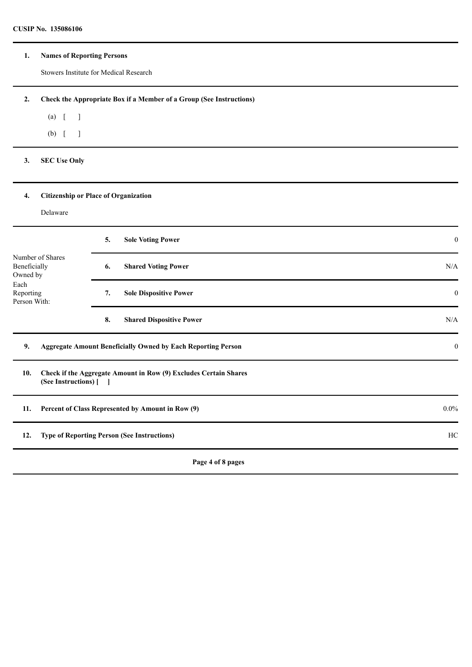### **1. Names of Reporting Persons**

Stowers Institute for Medical Research

**2. Check the Appropriate Box if a Member of a Group (See Instructions)**

(a) [ ]

(b) [ ]

## **3. SEC Use Only**

# **4. Citizenship or Place of Organization**

## Delaware

|                                                                                   |                                                                                            | 5. | <b>Sole Voting Power</b>                                            | $\bf{0}$     |  |
|-----------------------------------------------------------------------------------|--------------------------------------------------------------------------------------------|----|---------------------------------------------------------------------|--------------|--|
| Number of Shares<br>Beneficially<br>Owned by<br>Each<br>Reporting<br>Person With: |                                                                                            | 6. | <b>Shared Voting Power</b>                                          | N/A          |  |
|                                                                                   |                                                                                            | 7. | <b>Sole Dispositive Power</b>                                       | $\mathbf{0}$ |  |
|                                                                                   |                                                                                            | 8. | <b>Shared Dispositive Power</b>                                     | N/A          |  |
| 9.                                                                                |                                                                                            |    | <b>Aggregate Amount Beneficially Owned by Each Reporting Person</b> | $\bf{0}$     |  |
| 10.                                                                               | Check if the Aggregate Amount in Row (9) Excludes Certain Shares<br>(See Instructions) [ ] |    |                                                                     |              |  |
| 11.                                                                               | Percent of Class Represented by Amount in Row (9)                                          |    |                                                                     |              |  |
| 12.                                                                               | HC<br><b>Type of Reporting Person (See Instructions)</b>                                   |    |                                                                     |              |  |
|                                                                                   |                                                                                            |    | Page 4 of 8 pages                                                   |              |  |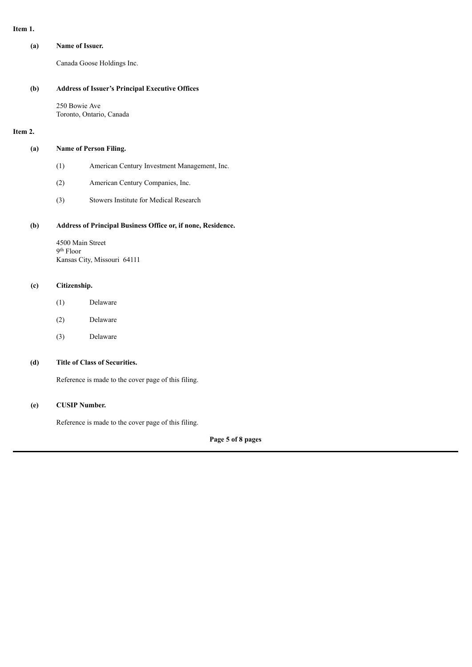#### **Item 1.**

| (a) | Name of Issuer. |
|-----|-----------------|
|     |                 |

Canada Goose Holdings Inc.

#### **(b) Address of Issuer's Principal Executive Offices**

250 Bowie Ave Toronto, Ontario, Canada

### **Item 2.**

#### **(a) Name of Person Filing.**

- (1) American Century Investment Management, Inc.
- (2) American Century Companies, Inc.
- (3) Stowers Institute for Medical Research

### **(b) Address of Principal Business Office or, if none, Residence.**

4500 Main Street 9 th Floor Kansas City, Missouri 64111

### **(c) Citizenship.**

- (1) Delaware
- (2) Delaware
- (3) Delaware

# **(d) Title of Class of Securities.**

Reference is made to the cover page of this filing.

### **(e) CUSIP Number.**

Reference is made to the cover page of this filing.

**Page 5 of 8 pages**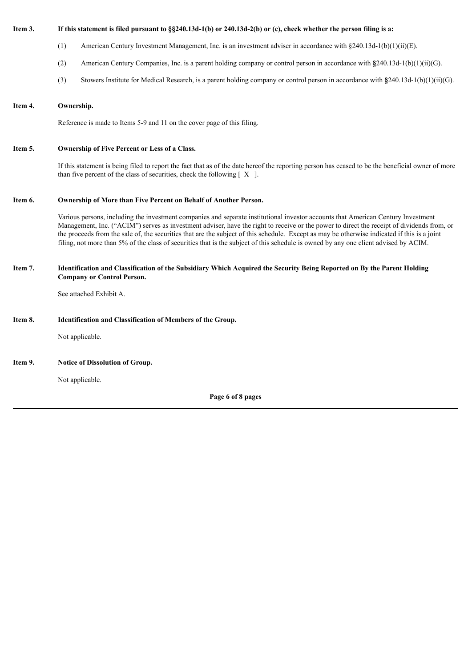#### If this statement is filed pursuant to §§240.13d-1(b) or 240.13d-2(b) or (c), check whether the person filing is a:

- (1) American Century Investment Management, Inc. is an investment adviser in accordance with §240.13d-1(b)(1)(ii)(E).
- (2) American Century Companies, Inc. is a parent holding company or control person in accordance with **§**240.13d-1(b)(1)(ii)(G).
- (3) Stowers Institute for Medical Research, is a parent holding company or control person in accordance with **§**240.13d-1(b)(1)(ii)(G).

#### **Item 4. Ownership.**

Reference is made to Items 5-9 and 11 on the cover page of this filing.

#### **Item 5. Ownership of Five Percent or Less of a Class.**

If this statement is being filed to report the fact that as of the date hereof the reporting person has ceased to be the beneficial owner of more than five percent of the class of securities, check the following  $[X]$ .

#### **Item 6. Ownership of More than Five Percent on Behalf of Another Person.**

Various persons, including the investment companies and separate institutional investor accounts that American Century Investment Management, Inc. ("ACIM") serves as investment adviser, have the right to receive or the power to direct the receipt of dividends from, or the proceeds from the sale of, the securities that are the subject of this schedule. Except as may be otherwise indicated if this is a joint filing, not more than 5% of the class of securities that is the subject of this schedule is owned by any one client advised by ACIM.

#### Item 7. Identification and Classification of the Subsidiary Which Acquired the Security Being Reported on By the Parent Holding **Company or Control Person.**

See attached Exhibit A.

#### **Item 8. Identification and Classification of Members of the Group.**

Not applicable.

**Item 9. Notice of Dissolution of Group.**

Not applicable.

**Page 6 of 8 pages**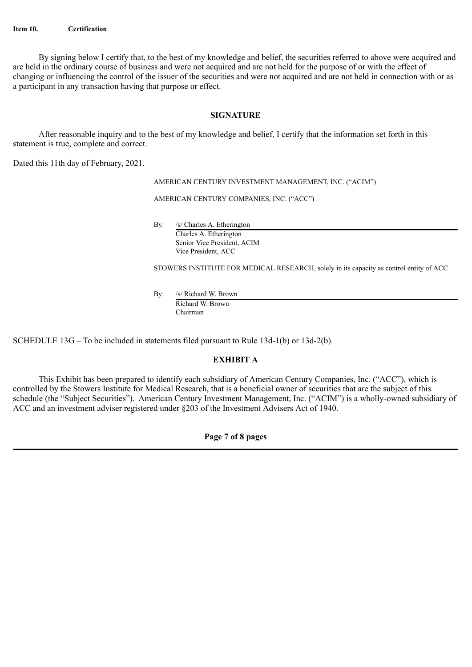By signing below I certify that, to the best of my knowledge and belief, the securities referred to above were acquired and are held in the ordinary course of business and were not acquired and are not held for the purpose of or with the effect of changing or influencing the control of the issuer of the securities and were not acquired and are not held in connection with or as a participant in any transaction having that purpose or effect.

## **SIGNATURE**

After reasonable inquiry and to the best of my knowledge and belief, I certify that the information set forth in this statement is true, complete and correct.

Dated this 11th day of February, 2021.

AMERICAN CENTURY INVESTMENT MANAGEMENT, INC. ("ACIM")

AMERICAN CENTURY COMPANIES, INC. ("ACC")

By: /s/ Charles A. Etherington Charles A. Etherington

Senior Vice President, ACIM Vice President, ACC

STOWERS INSTITUTE FOR MEDICAL RESEARCH, solely in its capacity as control entity of ACC

By: /s/ Richard W. Brown Richard W. Brown Chairman

SCHEDULE 13G – To be included in statements filed pursuant to Rule 13d-1(b) or 13d-2(b).

# **EXHIBIT A**

This Exhibit has been prepared to identify each subsidiary of American Century Companies, Inc. ("ACC"), which is controlled by the Stowers Institute for Medical Research, that is a beneficial owner of securities that are the subject of this schedule (the "Subject Securities"). American Century Investment Management, Inc. ("ACIM") is a wholly-owned subsidiary of ACC and an investment adviser registered under §203 of the Investment Advisers Act of 1940.

**Page 7 of 8 pages**